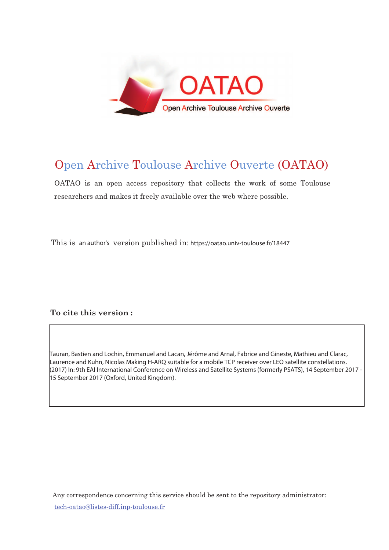

# Open Archive Toulouse Archive Ouverte (OATAO)

OATAO is an open access repository that collects the work of some Toulouse researchers and makes it freely available over the web where possible.

This is an author's version published in: https://oatao.univ-toulouse.fr/18447

# To cite this version :

Tauran, Bastien and Lochin, Emmanuel and Lacan, Jérôme and Arnal, Fabrice and Gineste, Mathieu and Clarac, Laurence and Kuhn, Nicolas Making H-ARQ suitable for a mobile TCP receiver over LEO satellite constellations. (2017) In: 9th EAI International Conference on Wireless and Satellite Systems (formerly PSATS), 14 September 2017 - 15 September 2017 (Oxford, United Kingdom).

Any correspondence concerning this service should be sent to the repository administrator: <u>tech-oatao@listes-diff.inp-toulouse.fr</u>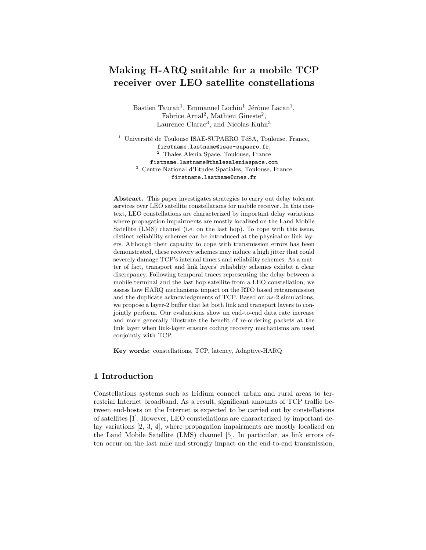# Making H-ARQ suitable for a mobile TCP receiver over LEO satellite constellations

Bastien Tauran<sup>1</sup>, Emmanuel Lochin<sup>1</sup> Jérôme Lacan<sup>1</sup>, Fabrice Arnal<sup>2</sup>, Mathieu Gineste<sup>2</sup>, Laurence Clarac<sup>3</sup>, and Nicolas Kuhn<sup>3</sup>

<sup>1</sup> Université de Toulouse ISAE-SUPAERO TéSA, Toulouse, France, firstname.lastname@isae-supaero.fr, <sup>2</sup> Thales Alenia Space, Toulouse, France fistname.lastname@thalesaleniaspace.com <sup>3</sup> Centre National d'Etudes Spatiales, Toulouse, France firstname.lastname@cnes.fr

Abstract. This paper investigates strategies to carry out delay tolerant services over LEO satellite constellations for mobile receiver. In this context, LEO constellations are characterized by important delay variations where propagation impairments are mostly localized on the Land Mobile Satellite (LMS) channel (i.e. on the last hop). To cope with this issue, distinct reliability schemes can be introduced at the physical or link layers. Although their capacity to cope with transmission errors has been demonstrated, these recovery schemes may induce a high jitter that could severely damage TCP's internal timers and reliability schemes. As a matter of fact, transport and link layers' reliability schemes exhibit a clear discrepancy. Following temporal traces representing the delay between a mobile terminal and the last hop satellite from a LEO constellation, we assess how HARQ mechanisms impact on the RTO based retransmission and the duplicate acknowledgments of TCP. Based on ns-2 simulations, we propose a layer-2 buffer that let both link and transport layers to conjointly perform. Our evaluations show an end-to-end data rate increase and more generally illustrate the benefit of re-ordering packets at the link layer when link-layer erasure coding recovery mechanisms are used conjointly with TCP.

Key words: constellations, TCP, latency, Adaptive-HARQ

# 1 Introduction

Constellations systems such as Iridium connect urban and rural areas to terrestrial Internet broadband. As a result, significant amounts of TCP traffic between end-hosts on the Internet is expected to be carried out by constellations of satellites [1]. However, LEO constellations are characterized by important delay variations [2, 3, 4], where propagation impairments are mostly localized on the Land Mobile Satellite (LMS) channel [5]. In particular, as link errors often occur on the last mile and strongly impact on the end-to-end transmission,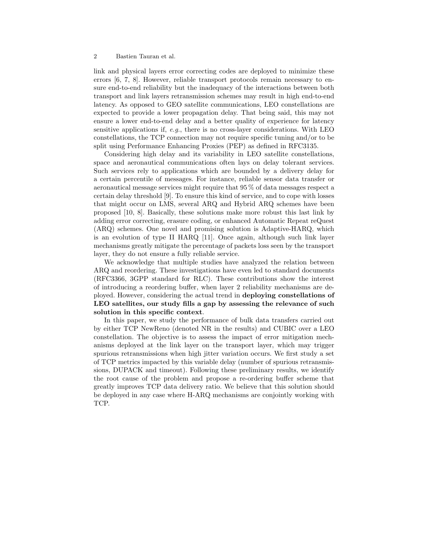#### 2 Bastien Tauran et al.

link and physical layers error correcting codes are deployed to minimize these errors [6, 7, 8]. However, reliable transport protocols remain necessary to ensure end-to-end reliability but the inadequacy of the interactions between both transport and link layers retransmission schemes may result in high end-to-end latency. As opposed to GEO satellite communications, LEO constellations are expected to provide a lower propagation delay. That being said, this may not ensure a lower end-to-end delay and a better quality of experience for latency sensitive applications if, e.g., there is no cross-layer considerations. With LEO constellations, the TCP connection may not require specific tuning and/or to be split using Performance Enhancing Proxies (PEP) as defined in RFC3135.

Considering high delay and its variability in LEO satellite constellations, space and aeronautical communications often lays on delay tolerant services. Such services rely to applications which are bounded by a delivery delay for a certain percentile of messages. For instance, reliable sensor data transfer or aeronautical message services might require that 95 % of data messages respect a certain delay threshold [9]. To ensure this kind of service, and to cope with losses that might occur on LMS, several ARQ and Hybrid ARQ schemes have been proposed [10, 8]. Basically, these solutions make more robust this last link by adding error correcting, erasure coding, or enhanced Automatic Repeat reQuest (ARQ) schemes. One novel and promising solution is Adaptive-HARQ, which is an evolution of type II HARQ [11]. Once again, although such link layer mechanisms greatly mitigate the percentage of packets loss seen by the transport layer, they do not ensure a fully reliable service.

We acknowledge that multiple studies have analyzed the relation between ARQ and reordering. These investigations have even led to standard documents (RFC3366, 3GPP standard for RLC). These contributions show the interest of introducing a reordering buffer, when layer 2 reliability mechanisms are deployed. However, considering the actual trend in deploying constellations of LEO satellites, our study fills a gap by assessing the relevance of such solution in this specific context.

In this paper, we study the performance of bulk data transfers carried out by either TCP NewReno (denoted NR in the results) and CUBIC over a LEO constellation. The objective is to assess the impact of error mitigation mechanisms deployed at the link layer on the transport layer, which may trigger spurious retransmissions when high jitter variation occurs. We first study a set of TCP metrics impacted by this variable delay (number of spurious retransmissions, DUPACK and timeout). Following these preliminary results, we identify the root cause of the problem and propose a re-ordering buffer scheme that greatly improves TCP data delivery ratio. We believe that this solution should be deployed in any case where H-ARQ mechanisms are conjointly working with TCP.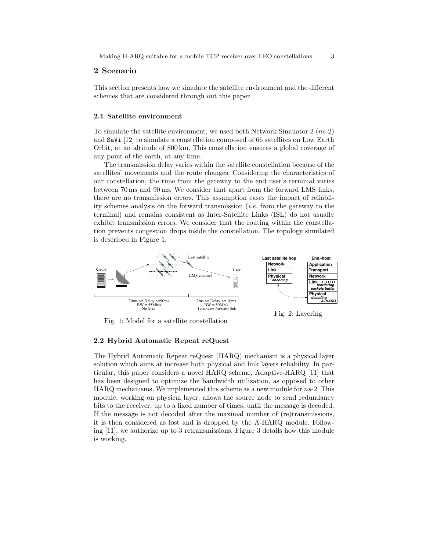## 2 Scenario

This section presents how we simulate the satellite environment and the different schemes that are considered through out this paper.

#### 2.1 Satellite environment

To simulate the satellite environment, we used both Network Simulator 2 (ns-2) and SaVi [12] to simulate a constellation composed of 66 satellites on Low Earth Orbit, at an altitude of 800 km. This constellation ensures a global coverage of any point of the earth, at any time.

The transmission delay varies within the satellite constellation because of the satellites' movements and the route changes. Considering the characteristics of our constellation, the time from the gateway to the end user's terminal varies between 70 ms and 90 ms. We consider that apart from the forward LMS links, there are no transmission errors. This assumption eases the impact of reliability schemes analysis on the forward transmission  $(i.e.$  from the gateway to the terminal) and remains consistent as Inter-Satellite Links (ISL) do not usually exhibit transmission errors. We consider that the routing within the constellation prevents congestion drops inside the constellation. The topology simulated is described in Figure 1.



Fig. 1: Model for a satellite constellation

#### 2.2 Hybrid Automatic Repeat reQuest

The Hybrid Automatic Repeat reQuest (HARQ) mechanism is a physical layer solution which aims at increase both physical and link layers reliability. In particular, this paper considers a novel HARQ scheme, Adaptive-HARQ [11] that has been designed to optimize the bandwidth utilization, as opposed to other HARQ mechanisms. We implemented this scheme as a new module for  $ns-2$ . This module, working on physical layer, allows the source node to send redundancy bits to the receiver, up to a fixed number of times, until the message is decoded. If the message is not decoded after the maximal number of (re)transmissions, it is then considered as lost and is dropped by the A-HARQ module. Following [11], we authorize up to 3 retransmissions. Figure 3 details how this module is working.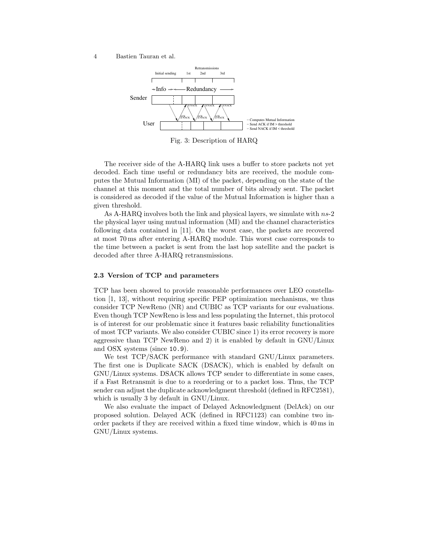4 Bastien Tauran et al.



Fig. 3: Description of HARQ

The receiver side of the A-HARQ link uses a buffer to store packets not yet decoded. Each time useful or redundancy bits are received, the module computes the Mutual Information (MI) of the packet, depending on the state of the channel at this moment and the total number of bits already sent. The packet is considered as decoded if the value of the Mutual Information is higher than a given threshold.

As A-HARQ involves both the link and physical layers, we simulate with ns-2 the physical layer using mutual information (MI) and the channel characteristics following data contained in [11]. On the worst case, the packets are recovered at most 70 ms after entering A-HARQ module. This worst case corresponds to the time between a packet is sent from the last hop satellite and the packet is decoded after three A-HARQ retransmissions.

### 2.3 Version of TCP and parameters

TCP has been showed to provide reasonable performances over LEO constellation [1, 13], without requiring specific PEP optimization mechanisms, we thus consider TCP NewReno (NR) and CUBIC as TCP variants for our evaluations. Even though TCP NewReno is less and less populating the Internet, this protocol is of interest for our problematic since it features basic reliability functionalities of most TCP variants. We also consider CUBIC since 1) its error recovery is more aggressive than TCP NewReno and 2) it is enabled by default in GNU/Linux and OSX systems (since 10.9).

We test TCP/SACK performance with standard GNU/Linux parameters. The first one is Duplicate SACK (DSACK), which is enabled by default on GNU/Linux systems. DSACK allows TCP sender to differentiate in some cases, if a Fast Retransmit is due to a reordering or to a packet loss. Thus, the TCP sender can adjust the duplicate acknowledgment threshold (defined in RFC2581), which is usually 3 by default in GNU/Linux.

We also evaluate the impact of Delayed Acknowledgment (DelAck) on our proposed solution. Delayed ACK (defined in RFC1123) can combine two inorder packets if they are received within a fixed time window, which is 40 ms in GNU/Linux systems.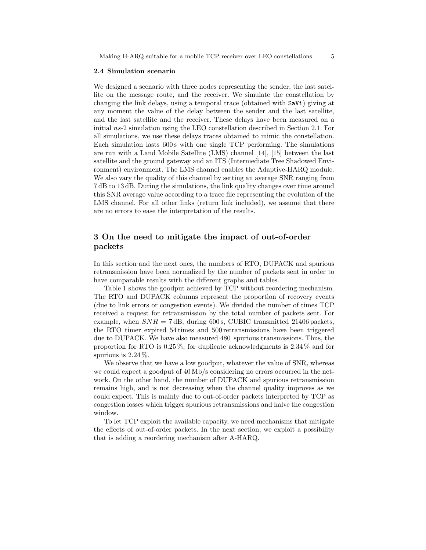#### 2.4 Simulation scenario

We designed a scenario with three nodes representing the sender, the last satellite on the message route, and the receiver. We simulate the constellation by changing the link delays, using a temporal trace (obtained with SaVi) giving at any moment the value of the delay between the sender and the last satellite, and the last satellite and the receiver. These delays have been measured on a initial ns-2 simulation using the LEO constellation described in Section 2.1. For all simulations, we use these delays traces obtained to mimic the constellation. Each simulation lasts 600s with one single TCP performing. The simulations are run with a Land Mobile Satellite (LMS) channel [14], [15] between the last satellite and the ground gateway and an ITS (Intermediate Tree Shadowed Environment) environment. The LMS channel enables the Adaptive-HARQ module. We also vary the quality of this channel by setting an average SNR ranging from 7 dB to 13 dB. During the simulations, the link quality changes over time around this SNR average value according to a trace file representing the evolution of the LMS channel. For all other links (return link included), we assume that there are no errors to ease the interpretation of the results.

# 3 On the need to mitigate the impact of out-of-order packets

In this section and the next ones, the numbers of RTO, DUPACK and spurious retransmission have been normalized by the number of packets sent in order to have comparable results with the different graphs and tables.

Table 1 shows the goodput achieved by TCP without reordering mechanism. The RTO and DUPACK columns represent the proportion of recovery events (due to link errors or congestion events). We divided the number of times TCP received a request for retransmission by the total number of packets sent. For example, when  $SNR = 7$  dB, during 600 s, CUBIC transmitted 21406 packets, the RTO timer expired 54 times and 500 retransmissions have been triggered due to DUPACK. We have also measured 480 spurious transmissions. Thus, the proportion for RTO is 0.25 %, for duplicate acknowledgments is 2.34 % and for spurious is  $2.24\%$ .

We observe that we have a low goodput, whatever the value of SNR, whereas we could expect a goodput of 40 Mb/s considering no errors occurred in the network. On the other hand, the number of DUPACK and spurious retransmission remains high, and is not decreasing when the channel quality improves as we could expect. This is mainly due to out-of-order packets interpreted by TCP as congestion losses which trigger spurious retransmissions and halve the congestion window.

To let TCP exploit the available capacity, we need mechanisms that mitigate the effects of out-of-order packets. In the next section, we exploit a possibility that is adding a reordering mechanism after A-HARQ.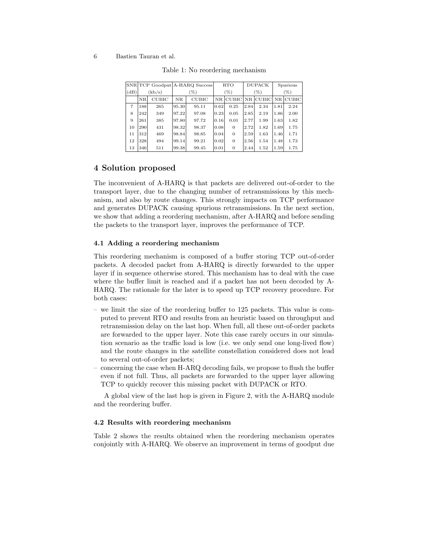6 Bastien Tauran et al.

|      |        |              | SNR TCP Goodput A-HARQ Success |              | <b>RTO</b> |                      | <b>DUPACK</b> |      | Spurious |       |
|------|--------|--------------|--------------------------------|--------------|------------|----------------------|---------------|------|----------|-------|
| (dB) | (kb/s) |              | $(\%)$                         |              | $(\%)$     |                      | $(\% )$       |      | $(\%)$   |       |
|      | NR     | <b>CUBIC</b> | NR.                            | <b>CUBIC</b> |            | NR CUBIC NR CUBIC NR |               |      |          | CUBIC |
| 7    | 188    | 265          | 95.30                          | 95.11        | 0.62       | 0.25                 | 2.84          | 2.34 | 1.81     | 2.24  |
| 8    | 242    | 349          | 97.22                          | 97.08        | 0.23       | 0.05                 | 2.85          | 2.19 | 1.86     | 2.00  |
| 9    | 261    | 385          | 97.80                          | 97.72        | 0.16       | 0.01                 | 2.77          | 1.99 | 1.63     | 1.82  |
| 10   | 290    | 431          | 98.32                          | 98.37        | 0.08       | $\Omega$             | 2.72          | 1.82 | 1.69     | 1.75  |
| 11   | 312    | 469          | 98.84                          | 98.85        | 0.04       | $\Omega$             | 2.59          | 1.63 | 1.46     | 1.71  |
| 12   | 328    | 494          | 99.14                          | 99.21        | 0.02       | $\Omega$             | 2.56          | 1.54 | 1.48     | 1.73  |
| 13   | 346    | 511          | 99.38                          | 99.45        | 0.01       | $\Omega$             | 2.44          | 1.52 | 1.59     | 1.75  |

Table 1: No reordering mechanism

# 4 Solution proposed

The inconvenient of A-HARQ is that packets are delivered out-of-order to the transport layer, due to the changing number of retransmissions by this mechanism, and also by route changes. This strongly impacts on TCP performance and generates DUPACK causing spurious retransmissions. In the next section, we show that adding a reordering mechanism, after A-HARQ and before sending the packets to the transport layer, improves the performance of TCP.

#### 4.1 Adding a reordering mechanism

This reordering mechanism is composed of a buffer storing TCP out-of-order packets. A decoded packet from A-HARQ is directly forwarded to the upper layer if in sequence otherwise stored. This mechanism has to deal with the case where the buffer limit is reached and if a packet has not been decoded by A-HARQ. The rationale for the later is to speed up TCP recovery procedure. For both cases:

- we limit the size of the reordering buffer to 125 packets. This value is computed to prevent RTO and results from an heuristic based on throughput and retransmission delay on the last hop. When full, all these out-of-order packets are forwarded to the upper layer. Note this case rarely occurs in our simulation scenario as the traffic load is low (i.e. we only send one long-lived flow) and the route changes in the satellite constellation considered does not lead to several out-of-order packets;
- concerning the case when H-ARQ decoding fails, we propose to flush the buffer even if not full. Thus, all packets are forwarded to the upper layer allowing TCP to quickly recover this missing packet with DUPACK or RTO.

A global view of the last hop is given in Figure 2, with the A-HARQ module and the reordering buffer.

#### 4.2 Results with reordering mechanism

Table 2 shows the results obtained when the reordering mechanism operates conjointly with A-HARQ. We observe an improvement in terms of goodput due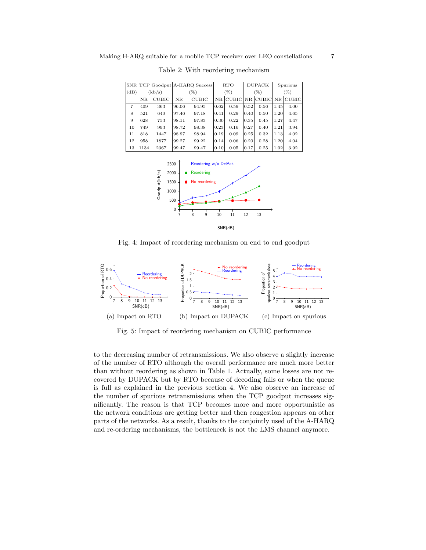|                |        |              | SNR TCP Goodput A-HARQ Success |              | <b>RTO</b> |      | <b>DUPACK</b> |                      | Spurious |              |
|----------------|--------|--------------|--------------------------------|--------------|------------|------|---------------|----------------------|----------|--------------|
| (dB)           | (kb/s) |              | $(\%)$                         |              | $(\%)$     |      | $(\%)$        |                      | $(\%)$   |              |
|                | NR.    | <b>CUBIC</b> | NR.                            | <b>CUBIC</b> |            |      |               | NR CUBIC NR CUBIC NR |          | <b>CUBIC</b> |
| $\overline{7}$ | 409    | 363          | 96.06                          | 94.95        | 0.62       | 0.59 | 0.52          | 0.56                 | 1.45     | 4.00         |
| 8              | 521    | 640          | 97.46                          | 97.18        | 0.41       | 0.29 | 0.40          | 0.50                 | 1.20     | 4.65         |
| 9              | 628    | 753          | 98.11                          | 97.83        | 0.30       | 0.22 | 0.35          | 0.45                 | 1.27     | 4.47         |
| 10             | 749    | 993          | 98.72                          | 98.38        | 0.23       | 0.16 | 0.27          | 0.40                 | 1.21     | 3.94         |
| 11             | 818    | 1447         | 98.97                          | 98.94        | 0.19       | 0.09 | 0.25          | 0.32                 | 1.13     | 4.02         |
| 12             | 958    | 1877         | 99.27                          | 99.22        | 0.14       | 0.06 | 0.20          | 0.28                 | 1.20     | 4.04         |
| 13             | 1134   | 2367         | 99.47                          | 99.47        | 0.10       | 0.05 | 0.17          | 0.25                 | 1.02     | 3.92         |

Table 2: With reordering mechanism



Fig. 4: Impact of reordering mechanism on end to end goodput



Fig. 5: Impact of reordering mechanism on CUBIC performance

to the decreasing number of retransmissions. We also observe a slightly increase of the number of RTO although the overall performance are much more better than without reordering as shown in Table 1. Actually, some losses are not recovered by DUPACK but by RTO because of decoding fails or when the queue is full as explained in the previous section 4. We also observe an increase of the number of spurious retransmissions when the TCP goodput increases significantly. The reason is that TCP becomes more and more opportunistic as the network conditions are getting better and then congestion appears on other parts of the networks. As a result, thanks to the conjointly used of the A-HARQ and re-ordering mechanisms, the bottleneck is not the LMS channel anymore.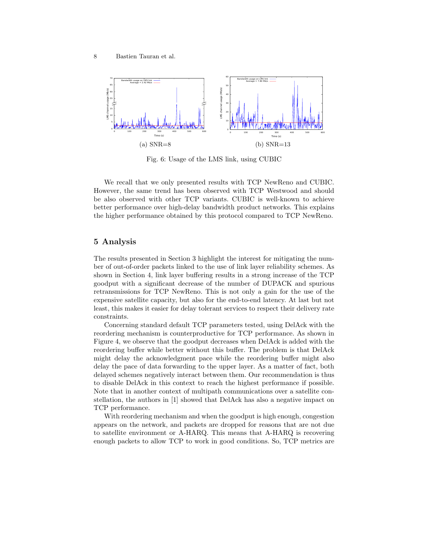

Fig. 6: Usage of the LMS link, using CUBIC

We recall that we only presented results with TCP NewReno and CUBIC. However, the same trend has been observed with TCP Westwood and should be also observed with other TCP variants. CUBIC is well-known to achieve better performance over high-delay bandwidth product networks. This explains the higher performance obtained by this protocol compared to TCP NewReno.

## 5 Analysis

The results presented in Section 3 highlight the interest for mitigating the number of out-of-order packets linked to the use of link layer reliability schemes. As shown in Section 4, link layer buffering results in a strong increase of the TCP goodput with a significant decrease of the number of DUPACK and spurious retransmissions for TCP NewReno. This is not only a gain for the use of the expensive satellite capacity, but also for the end-to-end latency. At last but not least, this makes it easier for delay tolerant services to respect their delivery rate constraints.

Concerning standard default TCP parameters tested, using DelAck with the reordering mechanism is counterproductive for TCP performance. As shown in Figure 4, we observe that the goodput decreases when DelAck is added with the reordering buffer while better without this buffer. The problem is that DelAck might delay the acknowledgment pace while the reordering buffer might also delay the pace of data forwarding to the upper layer. As a matter of fact, both delayed schemes negatively interact between them. Our recommendation is thus to disable DelAck in this context to reach the highest performance if possible. Note that in another context of multipath communications over a satellite constellation, the authors in [1] showed that DelAck has also a negative impact on TCP performance.

With reordering mechanism and when the goodput is high enough, congestion appears on the network, and packets are dropped for reasons that are not due to satellite environment or A-HARQ. This means that A-HARQ is recovering enough packets to allow TCP to work in good conditions. So, TCP metrics are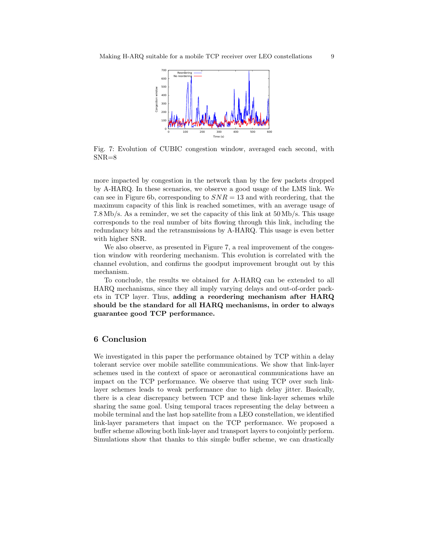

Fig. 7: Evolution of CUBIC congestion window, averaged each second, with SNR=8

more impacted by congestion in the network than by the few packets dropped by A-HARQ. In these scenarios, we observe a good usage of the LMS link. We can see in Figure 6b, corresponding to  $SNR = 13$  and with reordering, that the maximum capacity of this link is reached sometimes, with an average usage of 7.8 Mb/s. As a reminder, we set the capacity of this link at 50 Mb/s. This usage corresponds to the real number of bits flowing through this link, including the redundancy bits and the retransmissions by A-HARQ. This usage is even better with higher SNR.

We also observe, as presented in Figure 7, a real improvement of the congestion window with reordering mechanism. This evolution is correlated with the channel evolution, and confirms the goodput improvement brought out by this mechanism.

To conclude, the results we obtained for A-HARQ can be extended to all HARQ mechanisms, since they all imply varying delays and out-of-order packets in TCP layer. Thus, adding a reordering mechanism after HARQ should be the standard for all HARQ mechanisms, in order to always guarantee good TCP performance.

# 6 Conclusion

We investigated in this paper the performance obtained by TCP within a delay tolerant service over mobile satellite communications. We show that link-layer schemes used in the context of space or aeronautical communications have an impact on the TCP performance. We observe that using TCP over such linklayer schemes leads to weak performance due to high delay jitter. Basically, there is a clear discrepancy between TCP and these link-layer schemes while sharing the same goal. Using temporal traces representing the delay between a mobile terminal and the last hop satellite from a LEO constellation, we identified link-layer parameters that impact on the TCP performance. We proposed a buffer scheme allowing both link-layer and transport layers to conjointly perform. Simulations show that thanks to this simple buffer scheme, we can drastically